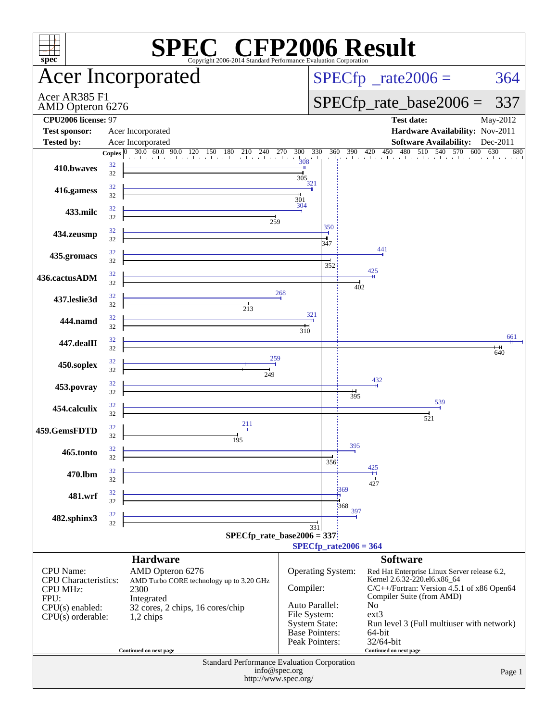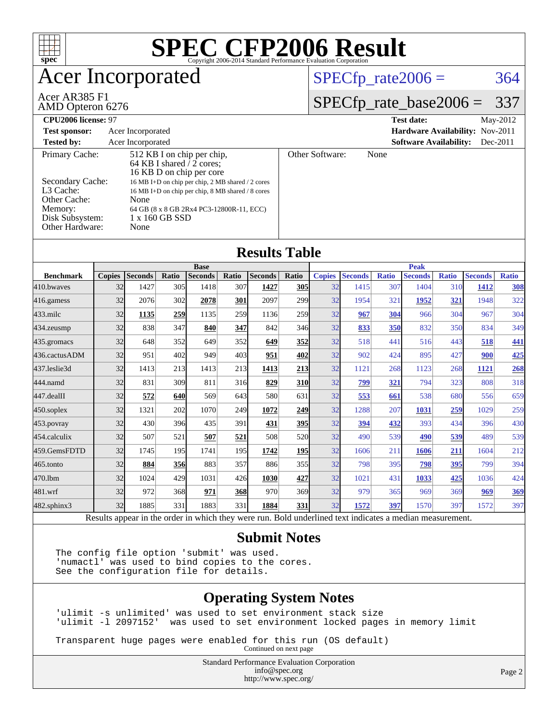

#### **[Submit Notes](http://www.spec.org/auto/cpu2006/Docs/result-fields.html#SubmitNotes)**

The config file option 'submit' was used. 'numactl' was used to bind copies to the cores. See the configuration file for details.

#### **[Operating System Notes](http://www.spec.org/auto/cpu2006/Docs/result-fields.html#OperatingSystemNotes)**

'ulimit -s unlimited' was used to set environment stack size 'ulimit -l 2097152' was used to set environment locked pages in memory limit

Transparent huge pages were enabled for this run (OS default)

Continued on next page

Standard Performance Evaluation Corporation [info@spec.org](mailto:info@spec.org) <http://www.spec.org/>

Page 2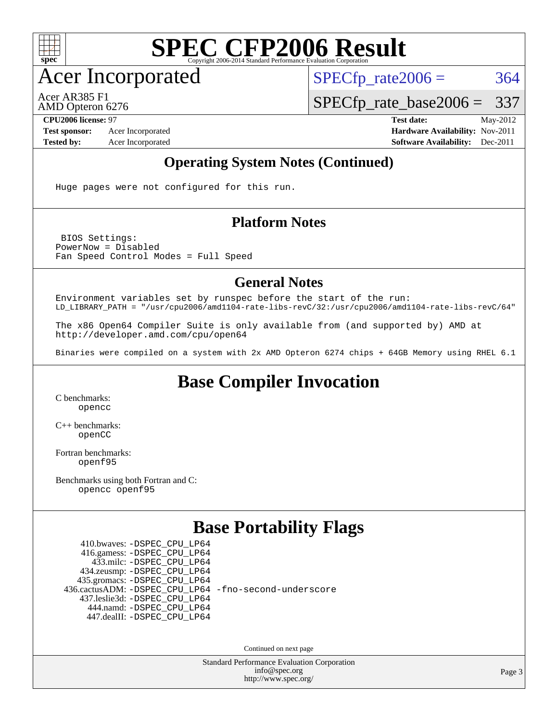

Acer Incorporated

 $SPECTp_rate2006 = 364$ 

Acer AR385 F1

AMD Opteron 6276

[SPECfp\\_rate\\_base2006 =](http://www.spec.org/auto/cpu2006/Docs/result-fields.html#SPECfpratebase2006) 337 **[CPU2006 license:](http://www.spec.org/auto/cpu2006/Docs/result-fields.html#CPU2006license)** 97 **[Test date:](http://www.spec.org/auto/cpu2006/Docs/result-fields.html#Testdate)** May-2012

**[Test sponsor:](http://www.spec.org/auto/cpu2006/Docs/result-fields.html#Testsponsor)** Acer Incorporated **[Hardware Availability:](http://www.spec.org/auto/cpu2006/Docs/result-fields.html#HardwareAvailability)** Nov-2011 **[Tested by:](http://www.spec.org/auto/cpu2006/Docs/result-fields.html#Testedby)** Acer Incorporated **[Software Availability:](http://www.spec.org/auto/cpu2006/Docs/result-fields.html#SoftwareAvailability)** Dec-2011

#### **[Operating System Notes \(Continued\)](http://www.spec.org/auto/cpu2006/Docs/result-fields.html#OperatingSystemNotes)**

Huge pages were not configured for this run.

#### **[Platform Notes](http://www.spec.org/auto/cpu2006/Docs/result-fields.html#PlatformNotes)**

 BIOS Settings: PowerNow = Disabled Fan Speed Control Modes = Full Speed

#### **[General Notes](http://www.spec.org/auto/cpu2006/Docs/result-fields.html#GeneralNotes)**

Environment variables set by runspec before the start of the run: LD\_LIBRARY\_PATH = "/usr/cpu2006/amd1104-rate-libs-revC/32:/usr/cpu2006/amd1104-rate-libs-revC/64"

The x86 Open64 Compiler Suite is only available from (and supported by) AMD at <http://developer.amd.com/cpu/open64>

Binaries were compiled on a system with 2x AMD Opteron 6274 chips + 64GB Memory using RHEL 6.1

### **[Base Compiler Invocation](http://www.spec.org/auto/cpu2006/Docs/result-fields.html#BaseCompilerInvocation)**

[C benchmarks](http://www.spec.org/auto/cpu2006/Docs/result-fields.html#Cbenchmarks): [opencc](http://www.spec.org/cpu2006/results/res2012q3/cpu2006-20120525-22398.flags.html#user_CCbase_Fopencc)

[C++ benchmarks:](http://www.spec.org/auto/cpu2006/Docs/result-fields.html#CXXbenchmarks) [openCC](http://www.spec.org/cpu2006/results/res2012q3/cpu2006-20120525-22398.flags.html#user_CXXbase_FopenCC)

[Fortran benchmarks](http://www.spec.org/auto/cpu2006/Docs/result-fields.html#Fortranbenchmarks): [openf95](http://www.spec.org/cpu2006/results/res2012q3/cpu2006-20120525-22398.flags.html#user_FCbase_Fopenf95)

[Benchmarks using both Fortran and C](http://www.spec.org/auto/cpu2006/Docs/result-fields.html#BenchmarksusingbothFortranandC): [opencc](http://www.spec.org/cpu2006/results/res2012q3/cpu2006-20120525-22398.flags.html#user_CC_FCbase_Fopencc) [openf95](http://www.spec.org/cpu2006/results/res2012q3/cpu2006-20120525-22398.flags.html#user_CC_FCbase_Fopenf95)

#### **[Base Portability Flags](http://www.spec.org/auto/cpu2006/Docs/result-fields.html#BasePortabilityFlags)**

 410.bwaves: [-DSPEC\\_CPU\\_LP64](http://www.spec.org/cpu2006/results/res2012q3/cpu2006-20120525-22398.flags.html#suite_basePORTABILITY410_bwaves_DSPEC_CPU_LP64) 416.gamess: [-DSPEC\\_CPU\\_LP64](http://www.spec.org/cpu2006/results/res2012q3/cpu2006-20120525-22398.flags.html#suite_basePORTABILITY416_gamess_DSPEC_CPU_LP64) 433.milc: [-DSPEC\\_CPU\\_LP64](http://www.spec.org/cpu2006/results/res2012q3/cpu2006-20120525-22398.flags.html#suite_basePORTABILITY433_milc_DSPEC_CPU_LP64) 434.zeusmp: [-DSPEC\\_CPU\\_LP64](http://www.spec.org/cpu2006/results/res2012q3/cpu2006-20120525-22398.flags.html#suite_basePORTABILITY434_zeusmp_DSPEC_CPU_LP64) 435.gromacs: [-DSPEC\\_CPU\\_LP64](http://www.spec.org/cpu2006/results/res2012q3/cpu2006-20120525-22398.flags.html#suite_basePORTABILITY435_gromacs_DSPEC_CPU_LP64) 436.cactusADM: [-DSPEC\\_CPU\\_LP64](http://www.spec.org/cpu2006/results/res2012q3/cpu2006-20120525-22398.flags.html#suite_basePORTABILITY436_cactusADM_DSPEC_CPU_LP64) [-fno-second-underscore](http://www.spec.org/cpu2006/results/res2012q3/cpu2006-20120525-22398.flags.html#user_baseFPORTABILITY436_cactusADM_F-fno-second-underscore) 437.leslie3d: [-DSPEC\\_CPU\\_LP64](http://www.spec.org/cpu2006/results/res2012q3/cpu2006-20120525-22398.flags.html#suite_basePORTABILITY437_leslie3d_DSPEC_CPU_LP64) 444.namd: [-DSPEC\\_CPU\\_LP64](http://www.spec.org/cpu2006/results/res2012q3/cpu2006-20120525-22398.flags.html#suite_basePORTABILITY444_namd_DSPEC_CPU_LP64) 447.dealII: [-DSPEC\\_CPU\\_LP64](http://www.spec.org/cpu2006/results/res2012q3/cpu2006-20120525-22398.flags.html#suite_basePORTABILITY447_dealII_DSPEC_CPU_LP64)

Continued on next page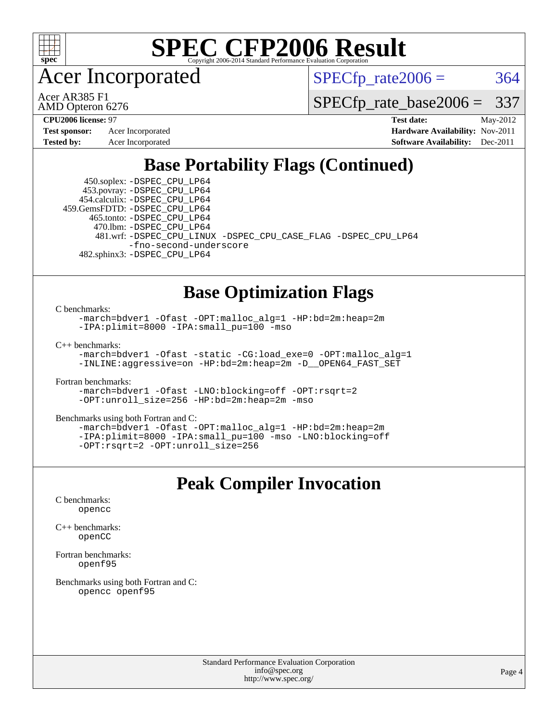

Acer Incorporated

 $SPECTp\_rate2006 = 364$ 

AMD Opteron 6276 Acer AR385 F1

[SPECfp\\_rate\\_base2006 =](http://www.spec.org/auto/cpu2006/Docs/result-fields.html#SPECfpratebase2006) 337

**[Tested by:](http://www.spec.org/auto/cpu2006/Docs/result-fields.html#Testedby)** Acer Incorporated **[Software Availability:](http://www.spec.org/auto/cpu2006/Docs/result-fields.html#SoftwareAvailability)** Dec-2011

**[CPU2006 license:](http://www.spec.org/auto/cpu2006/Docs/result-fields.html#CPU2006license)** 97 **[Test date:](http://www.spec.org/auto/cpu2006/Docs/result-fields.html#Testdate)** May-2012 **[Test sponsor:](http://www.spec.org/auto/cpu2006/Docs/result-fields.html#Testsponsor)** Acer Incorporated **[Hardware Availability:](http://www.spec.org/auto/cpu2006/Docs/result-fields.html#HardwareAvailability)** Nov-2011

### **[Base Portability Flags \(Continued\)](http://www.spec.org/auto/cpu2006/Docs/result-fields.html#BasePortabilityFlags)**

 450.soplex: [-DSPEC\\_CPU\\_LP64](http://www.spec.org/cpu2006/results/res2012q3/cpu2006-20120525-22398.flags.html#suite_basePORTABILITY450_soplex_DSPEC_CPU_LP64) 453.povray: [-DSPEC\\_CPU\\_LP64](http://www.spec.org/cpu2006/results/res2012q3/cpu2006-20120525-22398.flags.html#suite_basePORTABILITY453_povray_DSPEC_CPU_LP64) 454.calculix: [-DSPEC\\_CPU\\_LP64](http://www.spec.org/cpu2006/results/res2012q3/cpu2006-20120525-22398.flags.html#suite_basePORTABILITY454_calculix_DSPEC_CPU_LP64) 459.GemsFDTD: [-DSPEC\\_CPU\\_LP64](http://www.spec.org/cpu2006/results/res2012q3/cpu2006-20120525-22398.flags.html#suite_basePORTABILITY459_GemsFDTD_DSPEC_CPU_LP64) 465.tonto: [-DSPEC\\_CPU\\_LP64](http://www.spec.org/cpu2006/results/res2012q3/cpu2006-20120525-22398.flags.html#suite_basePORTABILITY465_tonto_DSPEC_CPU_LP64) 470.lbm: [-DSPEC\\_CPU\\_LP64](http://www.spec.org/cpu2006/results/res2012q3/cpu2006-20120525-22398.flags.html#suite_basePORTABILITY470_lbm_DSPEC_CPU_LP64) 481.wrf: [-DSPEC\\_CPU\\_LINUX](http://www.spec.org/cpu2006/results/res2012q3/cpu2006-20120525-22398.flags.html#b481.wrf_basePORTABILITY_DSPEC_CPU_LINUX) [-DSPEC\\_CPU\\_CASE\\_FLAG](http://www.spec.org/cpu2006/results/res2012q3/cpu2006-20120525-22398.flags.html#b481.wrf_basePORTABILITY_DSPEC_CPU_CASE_FLAG) [-DSPEC\\_CPU\\_LP64](http://www.spec.org/cpu2006/results/res2012q3/cpu2006-20120525-22398.flags.html#suite_basePORTABILITY481_wrf_DSPEC_CPU_LP64) [-fno-second-underscore](http://www.spec.org/cpu2006/results/res2012q3/cpu2006-20120525-22398.flags.html#user_baseFPORTABILITY481_wrf_F-fno-second-underscore) 482.sphinx3: [-DSPEC\\_CPU\\_LP64](http://www.spec.org/cpu2006/results/res2012q3/cpu2006-20120525-22398.flags.html#suite_basePORTABILITY482_sphinx3_DSPEC_CPU_LP64)

### **[Base Optimization Flags](http://www.spec.org/auto/cpu2006/Docs/result-fields.html#BaseOptimizationFlags)**

[C benchmarks](http://www.spec.org/auto/cpu2006/Docs/result-fields.html#Cbenchmarks):

[-march=bdver1](http://www.spec.org/cpu2006/results/res2012q3/cpu2006-20120525-22398.flags.html#user_CCbase_F-march_fdb9f2653a6b3eaa60be4cf93a9ba5f3) [-Ofast](http://www.spec.org/cpu2006/results/res2012q3/cpu2006-20120525-22398.flags.html#user_CCbase_F-Ofast) [-OPT:malloc\\_alg=1](http://www.spec.org/cpu2006/results/res2012q3/cpu2006-20120525-22398.flags.html#user_CCbase_F-OPT:malloc_algorithm_58733815edefaa612c2ed769b716daa0) [-HP:bd=2m:heap=2m](http://www.spec.org/cpu2006/results/res2012q3/cpu2006-20120525-22398.flags.html#user_CCbase_F-HUGEPAGE_539c723a9f9bd1bd95cd839aeb740bae) [-IPA:plimit=8000](http://www.spec.org/cpu2006/results/res2012q3/cpu2006-20120525-22398.flags.html#user_CCbase_F-IPA:plimit_92cba83f3d47f09c7d5368fda93ddbd7) [-IPA:small\\_pu=100](http://www.spec.org/cpu2006/results/res2012q3/cpu2006-20120525-22398.flags.html#user_CCbase_F-IPA:small_pu_900a09767c6929d55c26ea3d32399996) [-mso](http://www.spec.org/cpu2006/results/res2012q3/cpu2006-20120525-22398.flags.html#user_CCbase_F-mso)

[C++ benchmarks:](http://www.spec.org/auto/cpu2006/Docs/result-fields.html#CXXbenchmarks)

[-march=bdver1](http://www.spec.org/cpu2006/results/res2012q3/cpu2006-20120525-22398.flags.html#user_CXXbase_F-march_fdb9f2653a6b3eaa60be4cf93a9ba5f3) [-Ofast](http://www.spec.org/cpu2006/results/res2012q3/cpu2006-20120525-22398.flags.html#user_CXXbase_F-Ofast) [-static](http://www.spec.org/cpu2006/results/res2012q3/cpu2006-20120525-22398.flags.html#user_CXXbase_F-static) [-CG:load\\_exe=0](http://www.spec.org/cpu2006/results/res2012q3/cpu2006-20120525-22398.flags.html#user_CXXbase_F-CG:load_exe_274d025dc8e91b4834366e9e44cd78e3) [-OPT:malloc\\_alg=1](http://www.spec.org/cpu2006/results/res2012q3/cpu2006-20120525-22398.flags.html#user_CXXbase_F-OPT:malloc_algorithm_58733815edefaa612c2ed769b716daa0) [-INLINE:aggressive=on](http://www.spec.org/cpu2006/results/res2012q3/cpu2006-20120525-22398.flags.html#user_CXXbase_F-INLINE:aggressive_e14807c0a1e56a6a83cb25ab07c7ae8a) [-HP:bd=2m:heap=2m](http://www.spec.org/cpu2006/results/res2012q3/cpu2006-20120525-22398.flags.html#user_CXXbase_F-HUGEPAGE_539c723a9f9bd1bd95cd839aeb740bae) [-D\\_\\_OPEN64\\_FAST\\_SET](http://www.spec.org/cpu2006/results/res2012q3/cpu2006-20120525-22398.flags.html#user_CXXbase_F-D__OPEN64_FAST_SET_294c6d8260f208640e5474aae24dc22e)

[Fortran benchmarks](http://www.spec.org/auto/cpu2006/Docs/result-fields.html#Fortranbenchmarks):

[-march=bdver1](http://www.spec.org/cpu2006/results/res2012q3/cpu2006-20120525-22398.flags.html#user_FCbase_F-march_fdb9f2653a6b3eaa60be4cf93a9ba5f3) [-Ofast](http://www.spec.org/cpu2006/results/res2012q3/cpu2006-20120525-22398.flags.html#user_FCbase_F-Ofast) [-LNO:blocking=off](http://www.spec.org/cpu2006/results/res2012q3/cpu2006-20120525-22398.flags.html#user_FCbase_F-LNO:blocking_806f5758a3ec85ed57cd5625787129f2) [-OPT:rsqrt=2](http://www.spec.org/cpu2006/results/res2012q3/cpu2006-20120525-22398.flags.html#user_FCbase_F-OPT:rsqrt_86267f9eadbaac77732db1e74eed7bf8) [-OPT:unroll\\_size=256](http://www.spec.org/cpu2006/results/res2012q3/cpu2006-20120525-22398.flags.html#user_FCbase_F-OPT:unroll_size_dfa492f42f50f580c3837c8b22d14f27) [-HP:bd=2m:heap=2m](http://www.spec.org/cpu2006/results/res2012q3/cpu2006-20120525-22398.flags.html#user_FCbase_F-HUGEPAGE_539c723a9f9bd1bd95cd839aeb740bae) [-mso](http://www.spec.org/cpu2006/results/res2012q3/cpu2006-20120525-22398.flags.html#user_FCbase_F-mso)

[Benchmarks using both Fortran and C](http://www.spec.org/auto/cpu2006/Docs/result-fields.html#BenchmarksusingbothFortranandC):

[-march=bdver1](http://www.spec.org/cpu2006/results/res2012q3/cpu2006-20120525-22398.flags.html#user_CC_FCbase_F-march_fdb9f2653a6b3eaa60be4cf93a9ba5f3) [-Ofast](http://www.spec.org/cpu2006/results/res2012q3/cpu2006-20120525-22398.flags.html#user_CC_FCbase_F-Ofast) [-OPT:malloc\\_alg=1](http://www.spec.org/cpu2006/results/res2012q3/cpu2006-20120525-22398.flags.html#user_CC_FCbase_F-OPT:malloc_algorithm_58733815edefaa612c2ed769b716daa0) [-HP:bd=2m:heap=2m](http://www.spec.org/cpu2006/results/res2012q3/cpu2006-20120525-22398.flags.html#user_CC_FCbase_F-HUGEPAGE_539c723a9f9bd1bd95cd839aeb740bae) [-IPA:plimit=8000](http://www.spec.org/cpu2006/results/res2012q3/cpu2006-20120525-22398.flags.html#user_CC_FCbase_F-IPA:plimit_92cba83f3d47f09c7d5368fda93ddbd7) [-IPA:small\\_pu=100](http://www.spec.org/cpu2006/results/res2012q3/cpu2006-20120525-22398.flags.html#user_CC_FCbase_F-IPA:small_pu_900a09767c6929d55c26ea3d32399996) [-mso](http://www.spec.org/cpu2006/results/res2012q3/cpu2006-20120525-22398.flags.html#user_CC_FCbase_F-mso) [-LNO:blocking=off](http://www.spec.org/cpu2006/results/res2012q3/cpu2006-20120525-22398.flags.html#user_CC_FCbase_F-LNO:blocking_806f5758a3ec85ed57cd5625787129f2) [-OPT:rsqrt=2](http://www.spec.org/cpu2006/results/res2012q3/cpu2006-20120525-22398.flags.html#user_CC_FCbase_F-OPT:rsqrt_86267f9eadbaac77732db1e74eed7bf8) [-OPT:unroll\\_size=256](http://www.spec.org/cpu2006/results/res2012q3/cpu2006-20120525-22398.flags.html#user_CC_FCbase_F-OPT:unroll_size_dfa492f42f50f580c3837c8b22d14f27)

#### **[Peak Compiler Invocation](http://www.spec.org/auto/cpu2006/Docs/result-fields.html#PeakCompilerInvocation)**

[C benchmarks](http://www.spec.org/auto/cpu2006/Docs/result-fields.html#Cbenchmarks): [opencc](http://www.spec.org/cpu2006/results/res2012q3/cpu2006-20120525-22398.flags.html#user_CCpeak_Fopencc)

[C++ benchmarks:](http://www.spec.org/auto/cpu2006/Docs/result-fields.html#CXXbenchmarks) [openCC](http://www.spec.org/cpu2006/results/res2012q3/cpu2006-20120525-22398.flags.html#user_CXXpeak_FopenCC)

[Fortran benchmarks](http://www.spec.org/auto/cpu2006/Docs/result-fields.html#Fortranbenchmarks): [openf95](http://www.spec.org/cpu2006/results/res2012q3/cpu2006-20120525-22398.flags.html#user_FCpeak_Fopenf95)

[Benchmarks using both Fortran and C](http://www.spec.org/auto/cpu2006/Docs/result-fields.html#BenchmarksusingbothFortranandC): [opencc](http://www.spec.org/cpu2006/results/res2012q3/cpu2006-20120525-22398.flags.html#user_CC_FCpeak_Fopencc) [openf95](http://www.spec.org/cpu2006/results/res2012q3/cpu2006-20120525-22398.flags.html#user_CC_FCpeak_Fopenf95)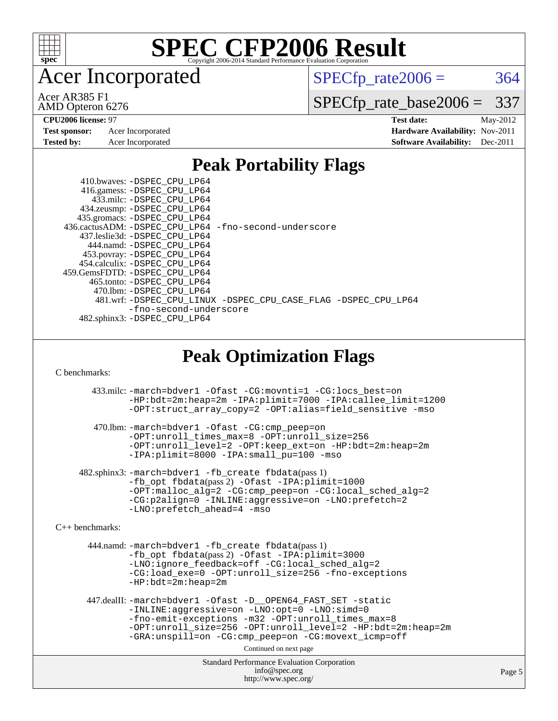

Acer Incorporated

 $SPECTp\_rate2006 = 364$ 

AMD Opteron 6276 Acer AR385 F1

[SPECfp\\_rate\\_base2006 =](http://www.spec.org/auto/cpu2006/Docs/result-fields.html#SPECfpratebase2006) 337

**[CPU2006 license:](http://www.spec.org/auto/cpu2006/Docs/result-fields.html#CPU2006license)** 97 **[Test date:](http://www.spec.org/auto/cpu2006/Docs/result-fields.html#Testdate)** May-2012 **[Test sponsor:](http://www.spec.org/auto/cpu2006/Docs/result-fields.html#Testsponsor)** Acer Incorporated **[Hardware Availability:](http://www.spec.org/auto/cpu2006/Docs/result-fields.html#HardwareAvailability)** Nov-2011 **[Tested by:](http://www.spec.org/auto/cpu2006/Docs/result-fields.html#Testedby)** Acer Incorporated **[Software Availability:](http://www.spec.org/auto/cpu2006/Docs/result-fields.html#SoftwareAvailability)** Dec-2011

### **[Peak Portability Flags](http://www.spec.org/auto/cpu2006/Docs/result-fields.html#PeakPortabilityFlags)**

 410.bwaves: [-DSPEC\\_CPU\\_LP64](http://www.spec.org/cpu2006/results/res2012q3/cpu2006-20120525-22398.flags.html#suite_peakPORTABILITY410_bwaves_DSPEC_CPU_LP64) 416.gamess: [-DSPEC\\_CPU\\_LP64](http://www.spec.org/cpu2006/results/res2012q3/cpu2006-20120525-22398.flags.html#suite_peakPORTABILITY416_gamess_DSPEC_CPU_LP64) 433.milc: [-DSPEC\\_CPU\\_LP64](http://www.spec.org/cpu2006/results/res2012q3/cpu2006-20120525-22398.flags.html#suite_peakPORTABILITY433_milc_DSPEC_CPU_LP64) 434.zeusmp: [-DSPEC\\_CPU\\_LP64](http://www.spec.org/cpu2006/results/res2012q3/cpu2006-20120525-22398.flags.html#suite_peakPORTABILITY434_zeusmp_DSPEC_CPU_LP64) 435.gromacs: [-DSPEC\\_CPU\\_LP64](http://www.spec.org/cpu2006/results/res2012q3/cpu2006-20120525-22398.flags.html#suite_peakPORTABILITY435_gromacs_DSPEC_CPU_LP64) 436.cactusADM: [-DSPEC\\_CPU\\_LP64](http://www.spec.org/cpu2006/results/res2012q3/cpu2006-20120525-22398.flags.html#suite_peakPORTABILITY436_cactusADM_DSPEC_CPU_LP64) [-fno-second-underscore](http://www.spec.org/cpu2006/results/res2012q3/cpu2006-20120525-22398.flags.html#user_peakFPORTABILITY436_cactusADM_F-fno-second-underscore) 437.leslie3d: [-DSPEC\\_CPU\\_LP64](http://www.spec.org/cpu2006/results/res2012q3/cpu2006-20120525-22398.flags.html#suite_peakPORTABILITY437_leslie3d_DSPEC_CPU_LP64) 444.namd: [-DSPEC\\_CPU\\_LP64](http://www.spec.org/cpu2006/results/res2012q3/cpu2006-20120525-22398.flags.html#suite_peakPORTABILITY444_namd_DSPEC_CPU_LP64) 453.povray: [-DSPEC\\_CPU\\_LP64](http://www.spec.org/cpu2006/results/res2012q3/cpu2006-20120525-22398.flags.html#suite_peakPORTABILITY453_povray_DSPEC_CPU_LP64) 454.calculix: [-DSPEC\\_CPU\\_LP64](http://www.spec.org/cpu2006/results/res2012q3/cpu2006-20120525-22398.flags.html#suite_peakPORTABILITY454_calculix_DSPEC_CPU_LP64) 459.GemsFDTD: [-DSPEC\\_CPU\\_LP64](http://www.spec.org/cpu2006/results/res2012q3/cpu2006-20120525-22398.flags.html#suite_peakPORTABILITY459_GemsFDTD_DSPEC_CPU_LP64) 465.tonto: [-DSPEC\\_CPU\\_LP64](http://www.spec.org/cpu2006/results/res2012q3/cpu2006-20120525-22398.flags.html#suite_peakPORTABILITY465_tonto_DSPEC_CPU_LP64) 470.lbm: [-DSPEC\\_CPU\\_LP64](http://www.spec.org/cpu2006/results/res2012q3/cpu2006-20120525-22398.flags.html#suite_peakPORTABILITY470_lbm_DSPEC_CPU_LP64) 481.wrf: [-DSPEC\\_CPU\\_LINUX](http://www.spec.org/cpu2006/results/res2012q3/cpu2006-20120525-22398.flags.html#b481.wrf_peakPORTABILITY_DSPEC_CPU_LINUX) [-DSPEC\\_CPU\\_CASE\\_FLAG](http://www.spec.org/cpu2006/results/res2012q3/cpu2006-20120525-22398.flags.html#b481.wrf_peakPORTABILITY_DSPEC_CPU_CASE_FLAG) [-DSPEC\\_CPU\\_LP64](http://www.spec.org/cpu2006/results/res2012q3/cpu2006-20120525-22398.flags.html#suite_peakPORTABILITY481_wrf_DSPEC_CPU_LP64) [-fno-second-underscore](http://www.spec.org/cpu2006/results/res2012q3/cpu2006-20120525-22398.flags.html#user_peakFPORTABILITY481_wrf_F-fno-second-underscore) 482.sphinx3: [-DSPEC\\_CPU\\_LP64](http://www.spec.org/cpu2006/results/res2012q3/cpu2006-20120525-22398.flags.html#suite_peakPORTABILITY482_sphinx3_DSPEC_CPU_LP64)

### **[Peak Optimization Flags](http://www.spec.org/auto/cpu2006/Docs/result-fields.html#PeakOptimizationFlags)**

[C benchmarks](http://www.spec.org/auto/cpu2006/Docs/result-fields.html#Cbenchmarks):

 433.milc: [-march=bdver1](http://www.spec.org/cpu2006/results/res2012q3/cpu2006-20120525-22398.flags.html#user_peakCCLD433_milc_F-march_fdb9f2653a6b3eaa60be4cf93a9ba5f3) [-Ofast](http://www.spec.org/cpu2006/results/res2012q3/cpu2006-20120525-22398.flags.html#user_peakCOPTIMIZE433_milc_F-Ofast) [-CG:movnti=1](http://www.spec.org/cpu2006/results/res2012q3/cpu2006-20120525-22398.flags.html#user_peakCOPTIMIZE433_milc_F-CG:movnti_c5191dc1f6da57382570e339f0143b6b) [-CG:locs\\_best=on](http://www.spec.org/cpu2006/results/res2012q3/cpu2006-20120525-22398.flags.html#user_peakCOPTIMIZE433_milc_F-CG:locs_best_44bf6c0eb80ac6a9a061cf7622f6bbb4) [-HP:bdt=2m:heap=2m](http://www.spec.org/cpu2006/results/res2012q3/cpu2006-20120525-22398.flags.html#user_peakCOPTIMIZE433_milc_F-HUGEPAGE_855e97383b49831f390a2af16fe7202f) [-IPA:plimit=7000](http://www.spec.org/cpu2006/results/res2012q3/cpu2006-20120525-22398.flags.html#user_peakCOPTIMIZE433_milc_F-IPA:plimit_9ab6b7e2a03099d305c7c932a2b08e7b) [-IPA:callee\\_limit=1200](http://www.spec.org/cpu2006/results/res2012q3/cpu2006-20120525-22398.flags.html#user_peakCOPTIMIZE433_milc_F-IPA:callee_limit_84570d230861a5f7e1ef8b9d520820bd) [-OPT:struct\\_array\\_copy=2](http://www.spec.org/cpu2006/results/res2012q3/cpu2006-20120525-22398.flags.html#user_peakCOPTIMIZE433_milc_F-OPT:struct_array_copy_974d2ad8eca78b540f82de85c2718c76) [-OPT:alias=field\\_sensitive](http://www.spec.org/cpu2006/results/res2012q3/cpu2006-20120525-22398.flags.html#user_peakCOPTIMIZE433_milc_F-OPT:alias_5e8b0b9ccca45811fc77b81277beeeb6) [-mso](http://www.spec.org/cpu2006/results/res2012q3/cpu2006-20120525-22398.flags.html#user_peakCOPTIMIZE433_milc_F-mso) 470.lbm: [-march=bdver1](http://www.spec.org/cpu2006/results/res2012q3/cpu2006-20120525-22398.flags.html#user_peakCCLD470_lbm_F-march_fdb9f2653a6b3eaa60be4cf93a9ba5f3) [-Ofast](http://www.spec.org/cpu2006/results/res2012q3/cpu2006-20120525-22398.flags.html#user_peakCOPTIMIZE470_lbm_F-Ofast) [-CG:cmp\\_peep=on](http://www.spec.org/cpu2006/results/res2012q3/cpu2006-20120525-22398.flags.html#user_peakCOPTIMIZE470_lbm_F-CG:cmp_peep_ab90c979e95bee1f1f617a32622424ed) [-OPT:unroll\\_times\\_max=8](http://www.spec.org/cpu2006/results/res2012q3/cpu2006-20120525-22398.flags.html#user_peakCOPTIMIZE470_lbm_F-OPT:unroll_times_max_1ad8852298ca2c36a68b2d007aae0e22) [-OPT:unroll\\_size=256](http://www.spec.org/cpu2006/results/res2012q3/cpu2006-20120525-22398.flags.html#user_peakCOPTIMIZE470_lbm_F-OPT:unroll_size_dfa492f42f50f580c3837c8b22d14f27)

[-OPT:unroll\\_level=2](http://www.spec.org/cpu2006/results/res2012q3/cpu2006-20120525-22398.flags.html#user_peakCOPTIMIZE470_lbm_F-OPT:unroll_level_2cd767e66711a193dd7aad8ffe1e4d20) [-OPT:keep\\_ext=on](http://www.spec.org/cpu2006/results/res2012q3/cpu2006-20120525-22398.flags.html#user_peakCOPTIMIZE470_lbm_F-OPT:keep_ext_4dbb9969188886aadf10437ce9577910) [-HP:bdt=2m:heap=2m](http://www.spec.org/cpu2006/results/res2012q3/cpu2006-20120525-22398.flags.html#user_peakCOPTIMIZE470_lbm_F-HUGEPAGE_855e97383b49831f390a2af16fe7202f) [-IPA:plimit=8000](http://www.spec.org/cpu2006/results/res2012q3/cpu2006-20120525-22398.flags.html#user_peakCOPTIMIZE470_lbm_F-IPA:plimit_92cba83f3d47f09c7d5368fda93ddbd7) [-IPA:small\\_pu=100](http://www.spec.org/cpu2006/results/res2012q3/cpu2006-20120525-22398.flags.html#user_peakCOPTIMIZE470_lbm_F-IPA:small_pu_900a09767c6929d55c26ea3d32399996) [-mso](http://www.spec.org/cpu2006/results/res2012q3/cpu2006-20120525-22398.flags.html#user_peakCOPTIMIZE470_lbm_F-mso)

 482.sphinx3: [-march=bdver1](http://www.spec.org/cpu2006/results/res2012q3/cpu2006-20120525-22398.flags.html#user_peakCCLD482_sphinx3_F-march_fdb9f2653a6b3eaa60be4cf93a9ba5f3) [-fb\\_create fbdata](http://www.spec.org/cpu2006/results/res2012q3/cpu2006-20120525-22398.flags.html#user_peakPASS1_CFLAGSPASS1_LDFLAGS482_sphinx3_F-fb_create_filename)(pass 1) [-fb\\_opt fbdata](http://www.spec.org/cpu2006/results/res2012q3/cpu2006-20120525-22398.flags.html#user_peakPASS2_CFLAGSPASS2_LDFLAGS482_sphinx3_F-fb_opt_filename)(pass 2) [-Ofast](http://www.spec.org/cpu2006/results/res2012q3/cpu2006-20120525-22398.flags.html#user_peakCOPTIMIZE482_sphinx3_F-Ofast) [-IPA:plimit=1000](http://www.spec.org/cpu2006/results/res2012q3/cpu2006-20120525-22398.flags.html#user_peakCOPTIMIZE482_sphinx3_F-IPA:plimit_a21635e8c676b861cbb49424034e8738) [-OPT:malloc\\_alg=2](http://www.spec.org/cpu2006/results/res2012q3/cpu2006-20120525-22398.flags.html#user_peakCOPTIMIZE482_sphinx3_F-OPT:malloc_algorithm_e62903d0840423b2a5cd674766328c33) [-CG:cmp\\_peep=on](http://www.spec.org/cpu2006/results/res2012q3/cpu2006-20120525-22398.flags.html#user_peakCOPTIMIZE482_sphinx3_F-CG:cmp_peep_ab90c979e95bee1f1f617a32622424ed) [-CG:local\\_sched\\_alg=2](http://www.spec.org/cpu2006/results/res2012q3/cpu2006-20120525-22398.flags.html#user_peakCOPTIMIZE482_sphinx3_F-CG:local_sched_alg_7e9cde87db6e5e7117cdd873e1f958ca) [-CG:p2align=0](http://www.spec.org/cpu2006/results/res2012q3/cpu2006-20120525-22398.flags.html#user_peakCOPTIMIZE482_sphinx3_F-CG:p2align_f0b0486d75f2be7d5254cfc84ff9845e) [-INLINE:aggressive=on](http://www.spec.org/cpu2006/results/res2012q3/cpu2006-20120525-22398.flags.html#user_peakCOPTIMIZE482_sphinx3_F-INLINE:aggressive_e14807c0a1e56a6a83cb25ab07c7ae8a) [-LNO:prefetch=2](http://www.spec.org/cpu2006/results/res2012q3/cpu2006-20120525-22398.flags.html#user_peakCOPTIMIZE482_sphinx3_F-LNO:prefetch_9aee81855ba0592a3c8a40ba7b041143) [-LNO:prefetch\\_ahead=4](http://www.spec.org/cpu2006/results/res2012q3/cpu2006-20120525-22398.flags.html#user_peakCOPTIMIZE482_sphinx3_F-LNO:prefetch_ahead_8c6859a25238ee4458253845ce09b91d) [-mso](http://www.spec.org/cpu2006/results/res2012q3/cpu2006-20120525-22398.flags.html#user_peakCOPTIMIZE482_sphinx3_F-mso)

[C++ benchmarks:](http://www.spec.org/auto/cpu2006/Docs/result-fields.html#CXXbenchmarks)

 444.namd: [-march=bdver1](http://www.spec.org/cpu2006/results/res2012q3/cpu2006-20120525-22398.flags.html#user_peakCXXLD444_namd_F-march_fdb9f2653a6b3eaa60be4cf93a9ba5f3) [-fb\\_create fbdata](http://www.spec.org/cpu2006/results/res2012q3/cpu2006-20120525-22398.flags.html#user_peakPASS1_CXXFLAGSPASS1_LDFLAGS444_namd_F-fb_create_filename)(pass 1) [-fb\\_opt fbdata](http://www.spec.org/cpu2006/results/res2012q3/cpu2006-20120525-22398.flags.html#user_peakPASS2_CXXFLAGSPASS2_LDFLAGS444_namd_F-fb_opt_filename)(pass 2) [-Ofast](http://www.spec.org/cpu2006/results/res2012q3/cpu2006-20120525-22398.flags.html#user_peakCXXOPTIMIZE444_namd_F-Ofast) [-IPA:plimit=3000](http://www.spec.org/cpu2006/results/res2012q3/cpu2006-20120525-22398.flags.html#user_peakCXXOPTIMIZE444_namd_F-IPA:plimit_1271b34fa8b6ba660886afb001b0afe7) [-LNO:ignore\\_feedback=off](http://www.spec.org/cpu2006/results/res2012q3/cpu2006-20120525-22398.flags.html#user_peakCXXOPTIMIZE444_namd_F-LNO:ignore_feedback_1d6d06f39185b277a955c10dfd0a9a73) [-CG:local\\_sched\\_alg=2](http://www.spec.org/cpu2006/results/res2012q3/cpu2006-20120525-22398.flags.html#user_peakCXXOPTIMIZE444_namd_F-CG:local_sched_alg_7e9cde87db6e5e7117cdd873e1f958ca) [-CG:load\\_exe=0](http://www.spec.org/cpu2006/results/res2012q3/cpu2006-20120525-22398.flags.html#user_peakCXXOPTIMIZE444_namd_F-CG:load_exe_274d025dc8e91b4834366e9e44cd78e3) [-OPT:unroll\\_size=256](http://www.spec.org/cpu2006/results/res2012q3/cpu2006-20120525-22398.flags.html#user_peakCXXOPTIMIZE444_namd_F-OPT:unroll_size_dfa492f42f50f580c3837c8b22d14f27) [-fno-exceptions](http://www.spec.org/cpu2006/results/res2012q3/cpu2006-20120525-22398.flags.html#user_peakCXXOPTIMIZE444_namd_F-fexceptions) [-HP:bdt=2m:heap=2m](http://www.spec.org/cpu2006/results/res2012q3/cpu2006-20120525-22398.flags.html#user_peakCXXOPTIMIZE444_namd_F-HUGEPAGE_855e97383b49831f390a2af16fe7202f)

 447.dealII: [-march=bdver1](http://www.spec.org/cpu2006/results/res2012q3/cpu2006-20120525-22398.flags.html#user_peakCXXLD447_dealII_F-march_fdb9f2653a6b3eaa60be4cf93a9ba5f3) [-Ofast](http://www.spec.org/cpu2006/results/res2012q3/cpu2006-20120525-22398.flags.html#user_peakCXXOPTIMIZE447_dealII_F-Ofast) [-D\\_\\_OPEN64\\_FAST\\_SET](http://www.spec.org/cpu2006/results/res2012q3/cpu2006-20120525-22398.flags.html#user_peakCXXOPTIMIZE447_dealII_F-D__OPEN64_FAST_SET_294c6d8260f208640e5474aae24dc22e) [-static](http://www.spec.org/cpu2006/results/res2012q3/cpu2006-20120525-22398.flags.html#user_peakCXXOPTIMIZE447_dealII_F-static) [-INLINE:aggressive=on](http://www.spec.org/cpu2006/results/res2012q3/cpu2006-20120525-22398.flags.html#user_peakCXXOPTIMIZE447_dealII_F-INLINE:aggressive_e14807c0a1e56a6a83cb25ab07c7ae8a) [-LNO:opt=0](http://www.spec.org/cpu2006/results/res2012q3/cpu2006-20120525-22398.flags.html#user_peakCXXOPTIMIZE447_dealII_F-LNO:opt_b91e8b13d06f45039299c6496cc69a5f) [-LNO:simd=0](http://www.spec.org/cpu2006/results/res2012q3/cpu2006-20120525-22398.flags.html#user_peakCXXOPTIMIZE447_dealII_F-LNO:simd_fe5269a1a2b4239f5b10f7374245fa5e) [-fno-emit-exceptions](http://www.spec.org/cpu2006/results/res2012q3/cpu2006-20120525-22398.flags.html#user_peakCXXOPTIMIZE447_dealII_F-fno-emit-exceptions) [-m32](http://www.spec.org/cpu2006/results/res2012q3/cpu2006-20120525-22398.flags.html#user_peakCXXOPTIMIZE447_dealII_F-m32) [-OPT:unroll\\_times\\_max=8](http://www.spec.org/cpu2006/results/res2012q3/cpu2006-20120525-22398.flags.html#user_peakCXXOPTIMIZE447_dealII_F-OPT:unroll_times_max_1ad8852298ca2c36a68b2d007aae0e22) [-OPT:unroll\\_size=256](http://www.spec.org/cpu2006/results/res2012q3/cpu2006-20120525-22398.flags.html#user_peakCXXOPTIMIZE447_dealII_F-OPT:unroll_size_dfa492f42f50f580c3837c8b22d14f27) [-OPT:unroll\\_level=2](http://www.spec.org/cpu2006/results/res2012q3/cpu2006-20120525-22398.flags.html#user_peakCXXOPTIMIZE447_dealII_F-OPT:unroll_level_2cd767e66711a193dd7aad8ffe1e4d20) [-HP:bdt=2m:heap=2m](http://www.spec.org/cpu2006/results/res2012q3/cpu2006-20120525-22398.flags.html#user_peakCXXOPTIMIZE447_dealII_F-HUGEPAGE_855e97383b49831f390a2af16fe7202f) [-GRA:unspill=on](http://www.spec.org/cpu2006/results/res2012q3/cpu2006-20120525-22398.flags.html#user_peakCXXOPTIMIZE447_dealII_F-GRA:unspill_1a6c98043856890311246be72b057593) [-CG:cmp\\_peep=on](http://www.spec.org/cpu2006/results/res2012q3/cpu2006-20120525-22398.flags.html#user_peakCXXOPTIMIZE447_dealII_F-CG:cmp_peep_ab90c979e95bee1f1f617a32622424ed) [-CG:movext\\_icmp=off](http://www.spec.org/cpu2006/results/res2012q3/cpu2006-20120525-22398.flags.html#user_peakCXXOPTIMIZE447_dealII_F-CG:movext_icmp_460c980612b8c1bf4cfe85e9a0188f7b)

Continued on next page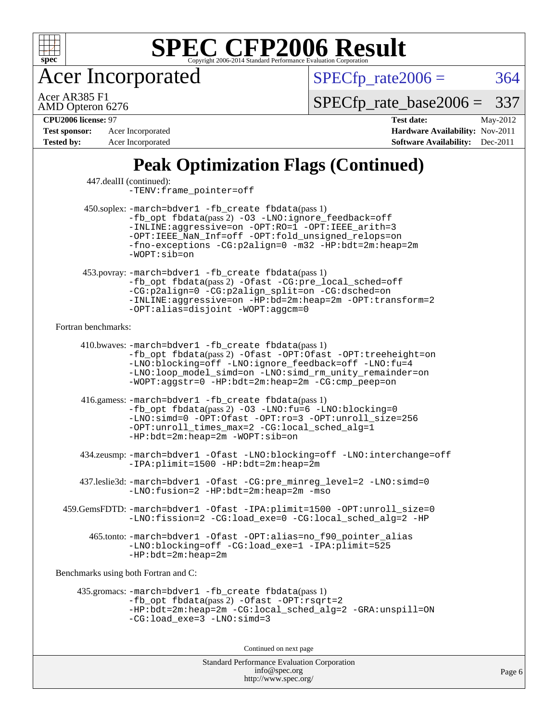

Acer Incorporated

 $SPECTp_rate2006 = 364$ 

AMD Opteron 6276 Acer AR385 F1

[SPECfp\\_rate\\_base2006 =](http://www.spec.org/auto/cpu2006/Docs/result-fields.html#SPECfpratebase2006) 337

**[Tested by:](http://www.spec.org/auto/cpu2006/Docs/result-fields.html#Testedby)** Acer Incorporated **[Software Availability:](http://www.spec.org/auto/cpu2006/Docs/result-fields.html#SoftwareAvailability)** Dec-2011

**[CPU2006 license:](http://www.spec.org/auto/cpu2006/Docs/result-fields.html#CPU2006license)** 97 **[Test date:](http://www.spec.org/auto/cpu2006/Docs/result-fields.html#Testdate)** May-2012 **[Test sponsor:](http://www.spec.org/auto/cpu2006/Docs/result-fields.html#Testsponsor)** Acer Incorporated **[Hardware Availability:](http://www.spec.org/auto/cpu2006/Docs/result-fields.html#HardwareAvailability)** Nov-2011

## **[Peak Optimization Flags \(Continued\)](http://www.spec.org/auto/cpu2006/Docs/result-fields.html#PeakOptimizationFlags)**

| 450.soplex: -march=bdver1 -fb_create fbdata(pass 1)<br>-fb_opt fbdata(pass 2) -03 -LNO:ignore_feedback=off<br>-INLINE:aggressive=on -OPT:RO=1 -OPT:IEEE_arith=3<br>-OPT: IEEE_NaN_Inf=off -OPT:fold_unsigned_relops=on<br>-fno-exceptions -CG:p2align=0 -m32 -HP:bdt=2m:heap=2m<br>$-WOPT: sib = on$<br>453.povray: -march=bdver1 -fb_create fbdata(pass 1)<br>-fb_opt fbdata(pass 2) -Ofast -CG:pre_local_sched=off<br>-CG:p2align=0 -CG:p2align_split=on -CG:dsched=on<br>-INLINE:aggressive=on -HP:bd=2m:heap=2m -OPT:transform=2<br>-OPT:alias=disjoint -WOPT:aggcm=0<br>Fortran benchmarks:<br>410.bwaves: -march=bdver1 -fb_create fbdata(pass 1)<br>-fb_opt fbdata(pass 2) -Ofast -OPT:Ofast -OPT:treeheight=on<br>-LNO:blocking=off -LNO:ignore_feedback=off -LNO:fu=4<br>-LNO:loop_model_simd=on -LNO:simd_rm_unity_remainder=on<br>-WOPT:aggstr=0 -HP:bdt=2m:heap=2m -CG:cmp_peep=on<br>416.gamess: -march=bdver1 -fb_create fbdata(pass 1)<br>-fb_opt fbdata(pass 2) -03 -LNO:fu=6 -LNO:blocking=0<br>-LNO:simd=0 -OPT:Ofast -OPT:ro=3 -OPT:unroll size=256<br>-OPT:unroll_times_max=2 -CG:local_sched_alg=1<br>$-HP:bdt=2m:heap=2m -WOPT:sib=on$<br>434.zeusmp:-march=bdver1 -Ofast -LNO:blocking=off -LNO:interchange=off<br>-IPA:plimit=1500 -HP:bdt=2m:heap=2m<br>437.leslie3d: -march=bdver1 -Ofast -CG:pre_minreg_level=2 -LNO:simd=0<br>-LNO: fusion=2 -HP: bdt=2m: heap=2m -mso<br>459.GemsFDTD: -march=bdver1 -Ofast -IPA:plimit=1500 -OPT:unroll_size=0<br>-LNO:fission=2 -CG:load_exe=0 -CG:local_sched_alg=2 -HP<br>465.tonto: -march=bdver1 -Ofast -OPT:alias=no_f90_pointer_alias<br>-LNO:blocking=off -CG:load_exe=1 -IPA:plimit=525<br>$-HP:bdt=2m:heap=2m$<br>Benchmarks using both Fortran and C:<br>435.gromacs: -march=bdver1 -fb_create fbdata(pass 1) | 447.dealII (continued): | -TENV: frame_pointer=off |
|----------------------------------------------------------------------------------------------------------------------------------------------------------------------------------------------------------------------------------------------------------------------------------------------------------------------------------------------------------------------------------------------------------------------------------------------------------------------------------------------------------------------------------------------------------------------------------------------------------------------------------------------------------------------------------------------------------------------------------------------------------------------------------------------------------------------------------------------------------------------------------------------------------------------------------------------------------------------------------------------------------------------------------------------------------------------------------------------------------------------------------------------------------------------------------------------------------------------------------------------------------------------------------------------------------------------------------------------------------------------------------------------------------------------------------------------------------------------------------------------------------------------------------------------------------------------------------------------------------------------------------------------------------------------------------------------------------------------------------------------------------------------------------------|-------------------------|--------------------------|
|                                                                                                                                                                                                                                                                                                                                                                                                                                                                                                                                                                                                                                                                                                                                                                                                                                                                                                                                                                                                                                                                                                                                                                                                                                                                                                                                                                                                                                                                                                                                                                                                                                                                                                                                                                                        |                         |                          |
|                                                                                                                                                                                                                                                                                                                                                                                                                                                                                                                                                                                                                                                                                                                                                                                                                                                                                                                                                                                                                                                                                                                                                                                                                                                                                                                                                                                                                                                                                                                                                                                                                                                                                                                                                                                        |                         |                          |
|                                                                                                                                                                                                                                                                                                                                                                                                                                                                                                                                                                                                                                                                                                                                                                                                                                                                                                                                                                                                                                                                                                                                                                                                                                                                                                                                                                                                                                                                                                                                                                                                                                                                                                                                                                                        |                         |                          |
|                                                                                                                                                                                                                                                                                                                                                                                                                                                                                                                                                                                                                                                                                                                                                                                                                                                                                                                                                                                                                                                                                                                                                                                                                                                                                                                                                                                                                                                                                                                                                                                                                                                                                                                                                                                        |                         |                          |
|                                                                                                                                                                                                                                                                                                                                                                                                                                                                                                                                                                                                                                                                                                                                                                                                                                                                                                                                                                                                                                                                                                                                                                                                                                                                                                                                                                                                                                                                                                                                                                                                                                                                                                                                                                                        |                         |                          |
|                                                                                                                                                                                                                                                                                                                                                                                                                                                                                                                                                                                                                                                                                                                                                                                                                                                                                                                                                                                                                                                                                                                                                                                                                                                                                                                                                                                                                                                                                                                                                                                                                                                                                                                                                                                        |                         |                          |
|                                                                                                                                                                                                                                                                                                                                                                                                                                                                                                                                                                                                                                                                                                                                                                                                                                                                                                                                                                                                                                                                                                                                                                                                                                                                                                                                                                                                                                                                                                                                                                                                                                                                                                                                                                                        |                         |                          |
|                                                                                                                                                                                                                                                                                                                                                                                                                                                                                                                                                                                                                                                                                                                                                                                                                                                                                                                                                                                                                                                                                                                                                                                                                                                                                                                                                                                                                                                                                                                                                                                                                                                                                                                                                                                        |                         |                          |
|                                                                                                                                                                                                                                                                                                                                                                                                                                                                                                                                                                                                                                                                                                                                                                                                                                                                                                                                                                                                                                                                                                                                                                                                                                                                                                                                                                                                                                                                                                                                                                                                                                                                                                                                                                                        |                         |                          |
|                                                                                                                                                                                                                                                                                                                                                                                                                                                                                                                                                                                                                                                                                                                                                                                                                                                                                                                                                                                                                                                                                                                                                                                                                                                                                                                                                                                                                                                                                                                                                                                                                                                                                                                                                                                        |                         |                          |
| -fb_opt fbdata(pass 2) -Ofast -OPT: rsqrt=2<br>-HP:bdt=2m:heap=2m -CG:local_sched_alg=2 -GRA:unspill=ON<br>$-CG:load\_exe=3 -LNO:simd=3$                                                                                                                                                                                                                                                                                                                                                                                                                                                                                                                                                                                                                                                                                                                                                                                                                                                                                                                                                                                                                                                                                                                                                                                                                                                                                                                                                                                                                                                                                                                                                                                                                                               |                         |                          |
| Continued on next page                                                                                                                                                                                                                                                                                                                                                                                                                                                                                                                                                                                                                                                                                                                                                                                                                                                                                                                                                                                                                                                                                                                                                                                                                                                                                                                                                                                                                                                                                                                                                                                                                                                                                                                                                                 |                         |                          |